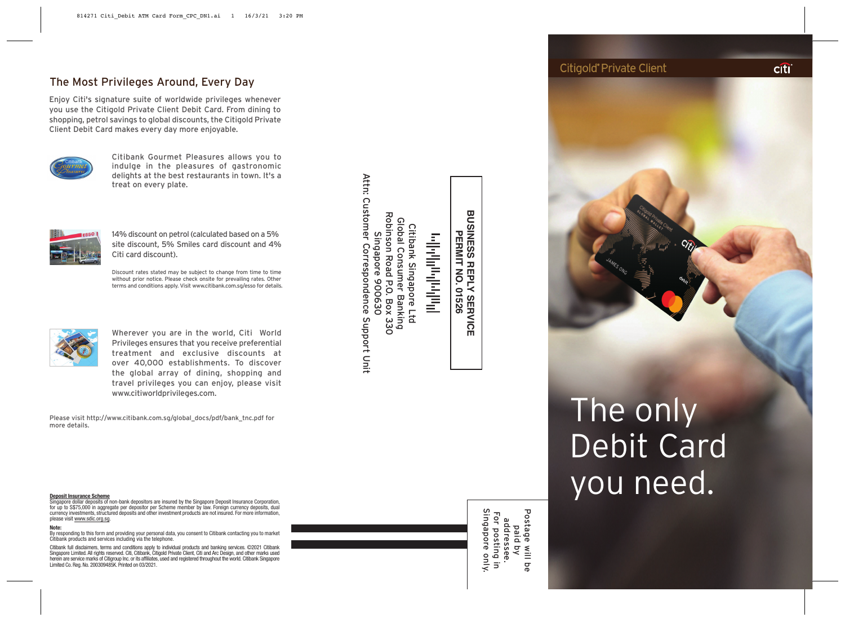# The Most Privileges Around, Every Day

Enjoy Citi's signature suite of worldwide privileges whenever you use the Citigold Private Client Debit Card. From dining to shopping, petrol savings to global discounts, the Citigold Private Client Debit Card makes every day more enjoyable.



Citibank Gourmet Pleasures allows you to indulge in the pleasures of gastronomic delights at the best restaurants in town. It's a treat on every plate.



14% discount on petrol (calculated based on a 5% site discount, 5% Smiles card discount and 4% Citi card discount).

Discount rates stated may be subject to change from time to time without prior notice. Please check onsite for prevailing rates. Other terms and conditions apply. Visit www.citibank.com.sg/esso for details.



Wherever you are in the world, Citi World Privileges ensures that you receive preferential treatment and exclusive discounts at over 40,000 establishments. To discover the global array of dining, shopping and travel privileges you can enjoy, please visit www.citiworldprivileges.com.

Please visit http://www.citibank.com.sg/global\_docs/pdf/bank\_tnc.pdf for more details.

**Deposit Insurance Scheme** Singapore dollar deposits of non-bank depositors are insured by the Singapore Deposit Insurance Corporation, for up to S\$75,000 in aggregate per depositor per Scheme member by law. Foreign currency deposits, dual currency investments, structured deposits and other investment products are not insured. For more information, please visit www.sdic.org.sg.

#### **Note:**

By responding to this form and providing your personal data, you consent to Citibank contacting you to market Citibank products and services including via the telephone.

Citibank full disclaimers, terms and conditions apply to individual products and banking services. ©2021 Citibank Singapore Limited. All rights reserved. Citi, Citibank, Citigold Private Client, Citi and Arc Design, and other marks used herein are service marks of Citigroup Inc. or its affiliates, used and registered throughout the world. Citibank Singapore Limited Co. Reg. No. 200309485K. Printed on 03/2021.

Citibank Singapore Ltd<br>Global Consumer Banking<br>Robinson Road P.O. Box 330<br>Attn: Customer Correspondence Support Unit Attn: Customer Correspondence Support Unit Robinson Road P.O. Box 330 Global Consumer Banking Citibank Singapore Ltd Singapore 900630

**PERMIT NO. 01526** الباراني المواسطة والمستراة والمستقط

**BUSINESS BUSINESS REPLY SERVICE INESS REPLY SERVICE<br>PERMIT NO. 01526** 

> addressee.<br>For posting in<br>Singapore only. Postage will be Singapore only. Postage will be For posting in addressee. paid by